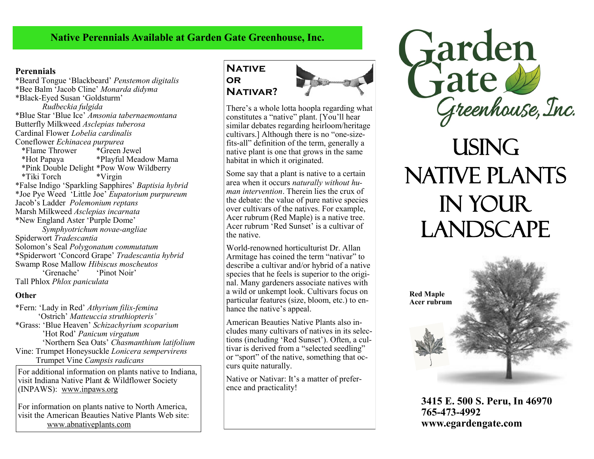# **Native Perennials Available at Garden Gate Greenhouse, Inc.**

#### **Perennials**

\*Beard Tongue 'Blackbeard' *Penstemon digitalis* \*Bee Balm 'Jacob Cline' *Monarda didyma* \*Black-Eyed Susan 'Goldsturm' *Rudbeckia fulgida* \*Blue Star 'Blue Ice' *Amsonia tabernaemontana* Butterfly Milkweed *Asclepias tuberosa* Cardinal Flower *Lobelia cardinalis* Coneflower *Echinacea purpurea*  \*Flame Thrower \*Green Jewel \*Hot Papaya \*Playful Meadow Mama \*Pink Double Delight \*Pow Wow Wildberry \*Tiki Torch \*Virgin \*False Indigo 'Sparkling Sapphires' *Baptisia hybrid* \*Joe Pye Weed 'Little Joe' *Eupatorium purpureum* Jacob's Ladder *Polemonium reptans* Marsh Milkweed *Asclepias incarnata* \*New England Aster 'Purple Dome' *Symphyotrichum novae-angliae* Spiderwort *Tradescantia* Solomon's Seal *Polygonatum commutatum* \*Spiderwort 'Concord Grape' *Tradescantia hybrid* Swamp Rose Mallow *Hibiscus moscheutos* 'Pinot Noir' Tall Phlox *Phlox paniculata*

#### **Other**

\*Fern: 'Lady in Red' *Athyrium filix-femina* 'Ostrich' *Matteuccia struthiopteris'* \*Grass: 'Blue Heaven' *Schizachyrium scoparium*  'Hot Rod' *Panicum virgatum* 'Northern Sea Oats' *Chasmanthium latifolium* Vine: Trumpet Honeysuckle *Lonicera sempervirens* Trumpet Vine *Campsis radicans*

For additional information on plants native to Indiana, visit Indiana Native Plant & Wildflower Society (INPAWS): www.inpaws.org

For information on plants native to North America, visit the American Beauties Native Plants Web site: www.abnativeplants.com

## **NATIVE or Nativar?**



There's a whole lotta hoopla regarding what constitutes a "native" plant. [You'll hear similar debates regarding heirloom/heritage cultivars.] Although there is no "one-sizefits-all" definition of the term, generally a native plant is one that grows in the same habitat in which it originated.

Some say that a plant is native to a certain area when it occurs *naturally without human intervention*. Therein lies the crux of the debate: the value of pure native species over cultivars of the natives. For example, Acer rubrum (Red Maple) is a native tree. Acer rubrum 'Red Sunset' is a cultivar of the native.

World-renowned horticulturist Dr. Allan Armitage has coined the term "nativar" to describe a cultivar and/or hybrid of a native species that he feels is superior to the original. Many gardeners associate natives with a wild or unkempt look. Cultivars focus on particular features (size, bloom, etc.) to enhance the native's appeal.

American Beauties Native Plants also includes many cultivars of natives in its selections (including 'Red Sunset'). Often, a cultivar is derived from a "selected seedling" or "sport" of the native, something that occurs quite naturally.

Native or Nativar: It's a matter of preference and practicality!



# **USING** Native Plants in Your **LANDSCAPE**



**3415 E. 500 S. Peru, In 46970 765-473-4992 www.egardengate.com**